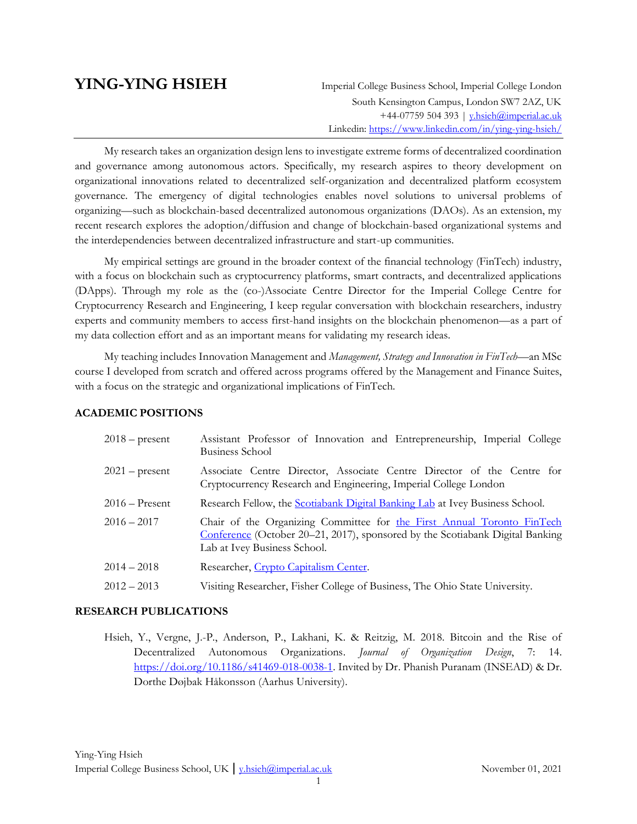**YING-YING HSIEH** Imperial College Business School, Imperial College London South Kensington Campus, London SW7 2AZ, UK +44-07759 504 393 | y.hsieh@imperial.ac.uk Linkedin: [https://www.linkedin.com/in/ying-ying-hsieh/](https://www.linkedin.com/in/ying-ying-hsieh)

My research takes an organization design lens to investigate extreme forms of decentralized coordination and governance among autonomous actors. Specifically, my research aspires to theory development on organizational innovations related to decentralized self-organization and decentralized platform ecosystem governance. The emergency of digital technologies enables novel solutions to universal problems of organizing—such as blockchain-based decentralized autonomous organizations (DAOs). As an extension, my recent research explores the adoption/diffusion and change of blockchain-based organizational systems and the interdependencies between decentralized infrastructure and start-up communities.

My empirical settings are ground in the broader context of the financial technology (FinTech) industry, with a focus on blockchain such as cryptocurrency platforms, smart contracts, and decentralized applications (DApps). Through my role as the (co-)Associate Centre Director for the Imperial College Centre for Cryptocurrency Research and Engineering, I keep regular conversation with blockchain researchers, industry experts and community members to access first-hand insights on the blockchain phenomenon—as a part of my data collection effort and as an important means for validating my research ideas.

My teaching includes Innovation Management and *Management, Strategy and Innovation in FinTech*—an MSc course I developed from scratch and offered across programs offered by the Management and Finance Suites, with a focus on the strategic and organizational implications of FinTech.

#### **ACADEMIC POSITIONS**

| $2018$ – present | Assistant Professor of Innovation and Entrepreneurship, Imperial College<br>Business School                                                                                             |
|------------------|-----------------------------------------------------------------------------------------------------------------------------------------------------------------------------------------|
| $2021$ – present | Associate Centre Director, Associate Centre Director of the Centre for<br>Cryptocurrency Research and Engineering, Imperial College London                                              |
| $2016$ – Present | Research Fellow, the Scotiabank Digital Banking Lab at Ivey Business School.                                                                                                            |
| $2016 - 2017$    | Chair of the Organizing Committee for the First Annual Toronto FinTech<br>Conference (October 20–21, 2017), sponsored by the Scotiabank Digital Banking<br>Lab at Ivey Business School. |
| $2014 - 2018$    | Researcher, Crypto Capitalism Center.                                                                                                                                                   |
| $2012 - 2013$    | Visiting Researcher, Fisher College of Business, The Ohio State University.                                                                                                             |

#### **RESEARCH PUBLICATIONS**

Hsieh, Y., Vergne, J.-P., Anderson, P., Lakhani, K. & Reitzig, M. 2018. Bitcoin and the Rise of Decentralized Autonomous Organizations. *Journal of Organization Design*, 7: 14. [https://doi.org/10.1186/s41469-018-0038-1.](https://doi.org/10.1186/s41469-018-0038-1) Invited by Dr. Phanish Puranam (INSEAD) & Dr. Dorthe Døjbak Håkonsson (Aarhus University).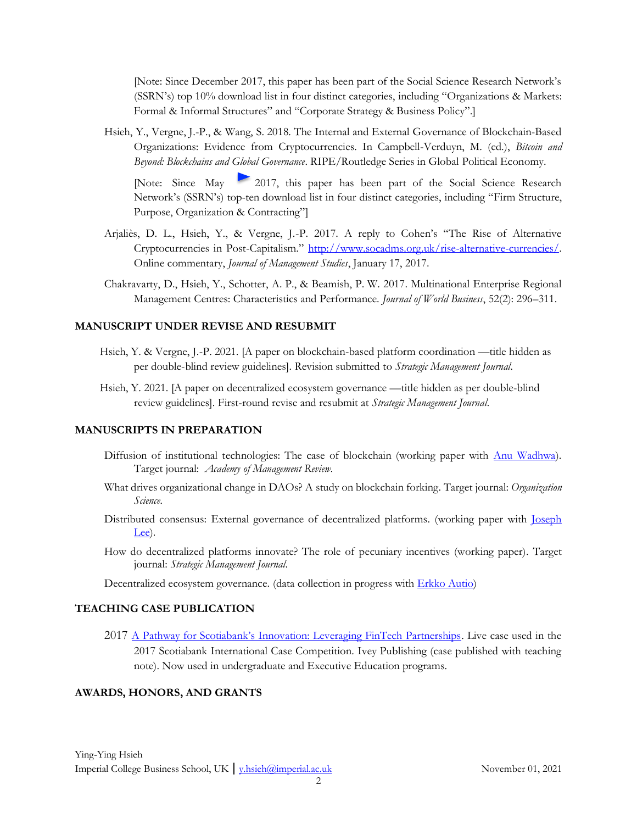[Note: Since December 2017, this paper has been part of the Social Science Research Network's (SSRN's) top 10% download list in four distinct categories, including "Organizations & Markets: Formal & Informal Structures" and "Corporate Strategy & Business Policy".]

Hsieh, Y., Vergne, J.-P., & Wang, S. 2018. The Internal and External Governance of Blockchain-Based Organizations: Evidence from Cryptocurrencies. In Campbell-Verduyn, M. (ed.), *Bitcoin and Beyond: Blockchains and Global Governance*. RIPE/Routledge Series in Global Political Economy.

[Note: Since May 2017, this paper has been part of the Social Science Research Network's (SSRN's) top-ten download list in four distinct categories, including "Firm Structure, Purpose, Organization & Contracting"]

- Arjaliès, D. L., Hsieh, Y., & Vergne, J.-P. 2017. A reply to Cohen's "The Rise of Alternative Cryptocurrencies in Post-Capitalism." [http://www.socadms.org.uk/rise-alternative-currencies/.](http://www.socadms.org.uk/rise-alternative-currencies/) Online commentary, *Journal of Management Studies*, January 17, 2017.
- Chakravarty, D., Hsieh, Y., Schotter, A. P., & Beamish, P. W. 2017. Multinational Enterprise Regional Management Centres: Characteristics and Performance. *Journal of World Business*, 52(2): 296–311.

### **MANUSCRIPT UNDER REVISE AND RESUBMIT**

- Hsieh, Y. & Vergne, J.-P. 2021. [A paper on blockchain-based platform coordination —title hidden as per double-blind review guidelines]. Revision submitted to *Strategic Management Journal.*
- Hsieh, Y. 2021. [A paper on decentralized ecosystem governance —title hidden as per double-blind review guidelines]. First-round revise and resubmit at *Strategic Management Journal.*

### **MANUSCRIPTS IN PREPARATION**

- Diffusion of institutional technologies: The case of blockchain (working paper with [Anu Wadhwa\)](https://www.imperial.ac.uk/people/a.wadhwa). Target journal: *Academy of Management Review.*
- What drives organizational change in DAOs? A study on blockchain forking. Target journal: *Organization Science.*
- Distributed consensus: External governance of decentralized platforms. (working paper with [Joseph](https://www.research.manchester.ac.uk/portal/joseph.lee-2.html)  [Lee\)](https://www.research.manchester.ac.uk/portal/joseph.lee-2.html).
- How do decentralized platforms innovate? The role of pecuniary incentives (working paper). Target journal: *Strategic Management Journal.*

Decentralized ecosystem governance. (data collection in progress with **Erkko Autio**)

#### **TEACHING CASE PUBLICATION**

2017 [A Pathway for Scotiabank's Innovation: Leveraging FinTech Partnerships](https://www.ivey.uwo.ca/scotiabank-digital-banking-lab/education/ivey-cases/). Live case used in the 2017 Scotiabank International Case Competition. Ivey Publishing (case published with teaching note). Now used in undergraduate and Executive Education programs.

#### **AWARDS, HONORS, AND GRANTS**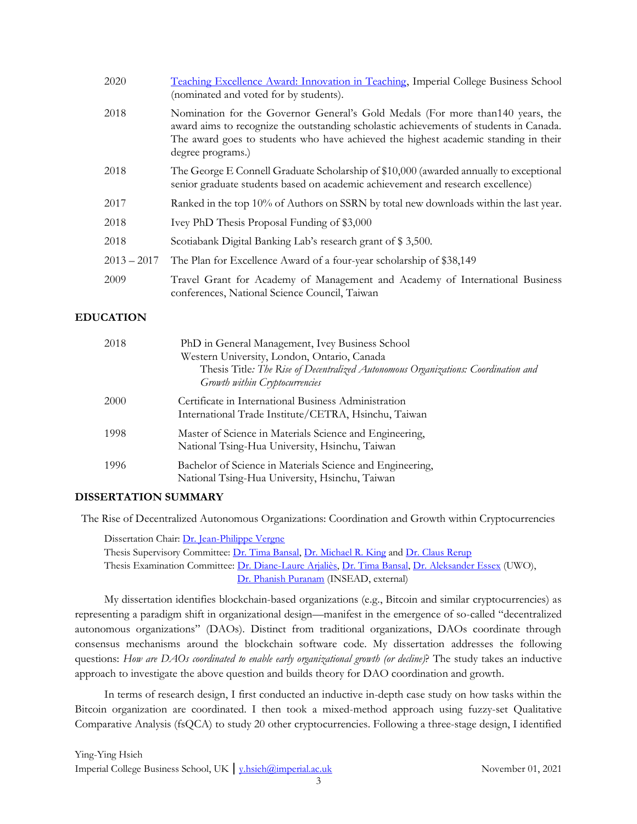| 2020          | Teaching Excellence Award: Innovation in Teaching, Imperial College Business School<br>(nominated and voted for by students).                                                                                                                                                         |
|---------------|---------------------------------------------------------------------------------------------------------------------------------------------------------------------------------------------------------------------------------------------------------------------------------------|
| 2018          | Nomination for the Governor General's Gold Medals (For more than 140 years, the<br>award aims to recognize the outstanding scholastic achievements of students in Canada.<br>The award goes to students who have achieved the highest academic standing in their<br>degree programs.) |
| 2018          | The George E Connell Graduate Scholarship of \$10,000 (awarded annually to exceptional<br>senior graduate students based on academic achievement and research excellence)                                                                                                             |
| 2017          | Ranked in the top 10% of Authors on SSRN by total new downloads within the last year.                                                                                                                                                                                                 |
| 2018          | Ivey PhD Thesis Proposal Funding of \$3,000                                                                                                                                                                                                                                           |
| 2018          | Scotiabank Digital Banking Lab's research grant of \$3,500.                                                                                                                                                                                                                           |
| $2013 - 2017$ | The Plan for Excellence Award of a four-year scholarship of \$38,149                                                                                                                                                                                                                  |
| 2009          | Travel Grant for Academy of Management and Academy of International Business<br>conferences, National Science Council, Taiwan                                                                                                                                                         |

# **EDUCATION**

| 2018 | PhD in General Management, Ivey Business School<br>Western University, London, Ontario, Canada<br>Thesis Title: The Rise of Decentralized Autonomous Organizations: Coordination and<br>Growth within Cryptocurrencies |
|------|------------------------------------------------------------------------------------------------------------------------------------------------------------------------------------------------------------------------|
| 2000 | Certificate in International Business Administration<br>International Trade Institute/CETRA, Hsinchu, Taiwan                                                                                                           |
| 1998 | Master of Science in Materials Science and Engineering,<br>National Tsing-Hua University, Hsinchu, Taiwan                                                                                                              |
| 1996 | Bachelor of Science in Materials Science and Engineering,<br>National Tsing-Hua University, Hsinchu, Taiwan                                                                                                            |

### **DISSERTATION SUMMARY**

The Rise of Decentralized Autonomous Organizations: Coordination and Growth within Cryptocurrencies

Dissertation Chair: [Dr. Jean-Philippe Vergne](https://www.ivey.uwo.ca/faculty/directory/jean-philippe-vergne/) Thesis Supervisory Committee: [Dr. Tima Bansal,](https://www.ivey.uwo.ca/faculty/directory/tima-bansal/) [Dr. Michael R. King](https://www.ivey.uwo.ca/faculty/directory/michael-king/) and [Dr. Claus Rerup](http://www.frankfurt-school.de/en/Person/0000007277651~~/Claus%20Rerup) Thesis Examination Committee: [Dr. Diane-Laure Arjaliès,](https://www.ivey.uwo.ca/faculty/directory/diane-laure-arjalies/) [Dr. Tima Bansal,](https://www.ivey.uwo.ca/faculty/directory/tima-bansal/) [Dr. Aleksander Essex](https://www.eng.uwo.ca/electrical/faculty/essex_a/index.html) (UWO), [Dr. Phanish Puranam](https://www.insead.edu/faculty-research/faculty/phanish-puranam) (INSEAD, external)

My dissertation identifies blockchain-based organizations (e.g., Bitcoin and similar cryptocurrencies) as representing a paradigm shift in organizational design—manifest in the emergence of so-called "decentralized autonomous organizations" (DAOs). Distinct from traditional organizations, DAOs coordinate through consensus mechanisms around the blockchain software code. My dissertation addresses the following questions: *How are DAOs coordinated to enable early organizational growth (or decline)*? The study takes an inductive approach to investigate the above question and builds theory for DAO coordination and growth.

In terms of research design, I first conducted an inductive in-depth case study on how tasks within the Bitcoin organization are coordinated. I then took a mixed-method approach using fuzzy-set Qualitative Comparative Analysis (fsQCA) to study 20 other cryptocurrencies. Following a three-stage design, I identified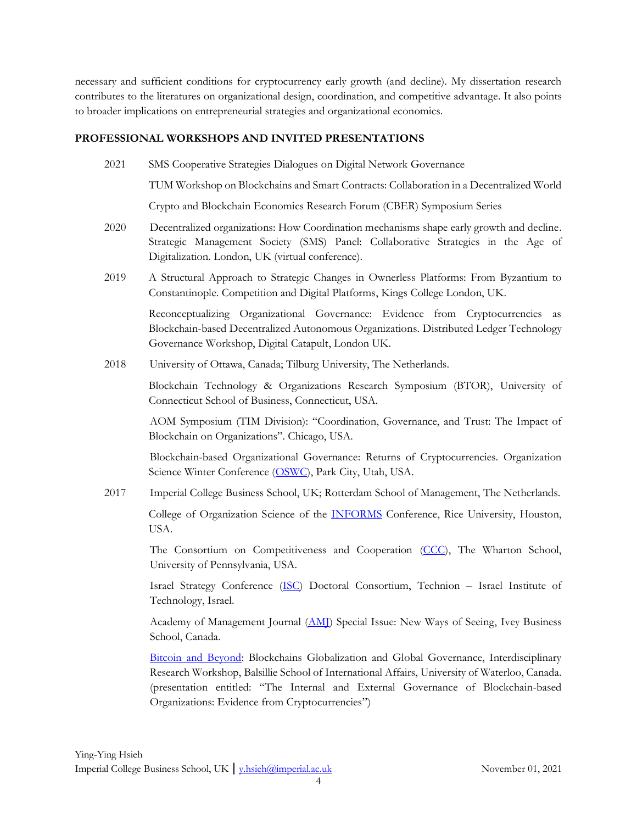necessary and sufficient conditions for cryptocurrency early growth (and decline). My dissertation research contributes to the literatures on organizational design, coordination, and competitive advantage. It also points to broader implications on entrepreneurial strategies and organizational economics.

#### **PROFESSIONAL WORKSHOPS AND INVITED PRESENTATIONS**

2021 SMS Cooperative Strategies Dialogues on Digital Network Governance

TUM Workshop on Blockchains and Smart Contracts: Collaboration in a Decentralized World

Crypto and Blockchain Economics Research Forum (CBER) Symposium Series

- 2020 Decentralized organizations: How Coordination mechanisms shape early growth and decline. Strategic Management Society (SMS) Panel: Collaborative Strategies in the Age of Digitalization. London, UK (virtual conference).
- 2019 A Structural Approach to Strategic Changes in Ownerless Platforms: From Byzantium to Constantinople. Competition and Digital Platforms, Kings College London, UK.

Reconceptualizing Organizational Governance: Evidence from Cryptocurrencies as Blockchain-based Decentralized Autonomous Organizations. Distributed Ledger Technology Governance Workshop, Digital Catapult, London UK.

2018 University of Ottawa, Canada; Tilburg University, The Netherlands.

Blockchain Technology & Organizations Research Symposium (BTOR), University of Connecticut School of Business, Connecticut, USA.

AOM Symposium (TIM Division): "Coordination, Governance, and Trust: The Impact of Blockchain on Organizations". Chicago, USA.

Blockchain-based Organizational Governance: Returns of Cryptocurrencies. Organization Science Winter Conference [\(OSWC\)](http://connect.informs.org/orgsci/winter-meeting/home), Park City, Utah, USA.

2017 Imperial College Business School, UK; Rotterdam School of Management, The Netherlands.

College of Organization Science of the [INFORMS](http://meetings2.informs.org/wordpress/houston2017/) Conference, Rice University, Houston, USA.

The Consortium on Competitiveness and Cooperation [\(CCC\)](https://ccc.strategy-and-entrepreneurship.net/about/), The Wharton School, University of Pennsylvania, USA.

Israel Strategy Conference [\(ISC\)](http://www.isc.org.il/) Doctoral Consortium, Technion – Israel Institute of Technology, Israel.

Academy of Management Journal [\(AMJ\)](http://aom.org/Publications/AMJ/Call-for-Papers--Special-Research-Forum.aspx) Special Issue: New Ways of Seeing, Ivey Business School, Canada.

[Bitcoin and Beyond:](https://www.balsillieschool.ca/event/bitcoin-beyond-blockchains-globalization-and-global-governance) Blockchains Globalization and Global Governance, Interdisciplinary Research Workshop, Balsillie School of International Affairs, University of Waterloo, Canada. (presentation entitled: "The Internal and External Governance of Blockchain-based Organizations: Evidence from Cryptocurrencies")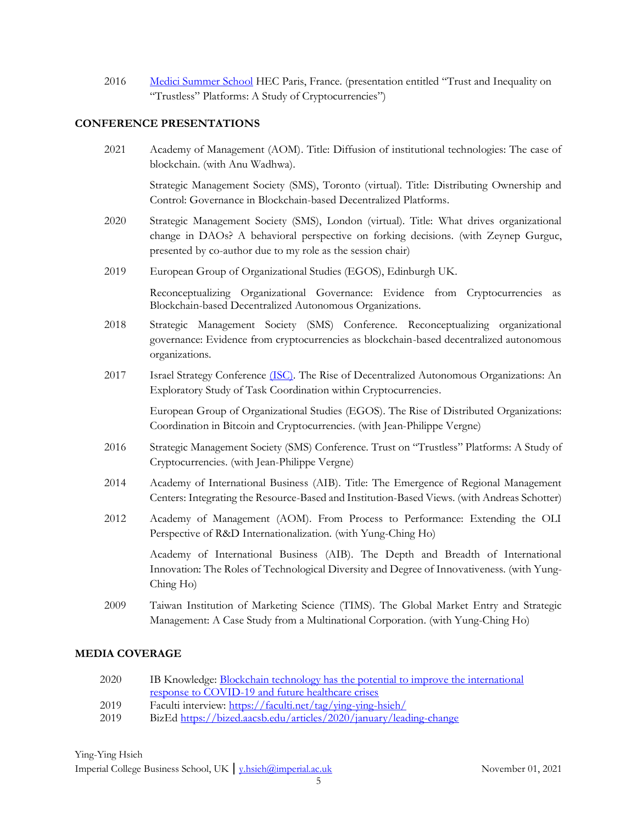2016 [Medici Summer School](http://www.medicisummerschool.it/about.html) HEC Paris, France. (presentation entitled "Trust and Inequality on "Trustless" Platforms: A Study of Cryptocurrencies")

### **CONFERENCE PRESENTATIONS**

2021 Academy of Management (AOM). Title: Diffusion of institutional technologies: The case of blockchain. (with Anu Wadhwa).

Strategic Management Society (SMS), Toronto (virtual). Title: Distributing Ownership and Control: Governance in Blockchain-based Decentralized Platforms.

- 2020 Strategic Management Society (SMS), London (virtual). Title: What drives organizational change in DAOs? A behavioral perspective on forking decisions. (with Zeynep Gurguc, presented by co-author due to my role as the session chair)
- 2019 European Group of Organizational Studies (EGOS), Edinburgh UK.

Reconceptualizing Organizational Governance: Evidence from Cryptocurrencies as Blockchain-based Decentralized Autonomous Organizations.

- 2018 Strategic Management Society (SMS) Conference. Reconceptualizing organizational governance: Evidence from cryptocurrencies as blockchain-based decentralized autonomous organizations.
- 2017 Israel Strategy Conference [\(ISC\).](http://www.isc.org.il/#http://www.isc.org.il/) The Rise of Decentralized Autonomous Organizations: An Exploratory Study of Task Coordination within Cryptocurrencies.

European Group of Organizational Studies (EGOS). The Rise of Distributed Organizations: Coordination in Bitcoin and Cryptocurrencies. (with Jean-Philippe Vergne)

- 2016 Strategic Management Society (SMS) Conference. Trust on "Trustless" Platforms: A Study of Cryptocurrencies. (with Jean-Philippe Vergne)
- 2014 Academy of International Business (AIB). Title: The Emergence of Regional Management Centers: Integrating the Resource-Based and Institution-Based Views. (with Andreas Schotter)
- 2012 Academy of Management (AOM). From Process to Performance: Extending the OLI Perspective of R&D Internationalization. (with Yung-Ching Ho)

Academy of International Business (AIB). The Depth and Breadth of International Innovation: The Roles of Technological Diversity and Degree of Innovativeness. (with Yung-Ching Ho)

2009 Taiwan Institution of Marketing Science (TIMS). The Global Market Entry and Strategic Management: A Case Study from a Multinational Corporation. (with Yung-Ching Ho)

### **MEDIA COVERAGE**

- 2020 IB Knowledge: Blockchain technology has the potential to improve the international [response to COVID-19 and future healthcare crises](https://www.imperial.ac.uk/business-school/ib-knowledge/entrepreneurship-innovation/fighting-coronavirus-the-blockchain)
- 2019 Faculti interview:<https://faculti.net/tag/ying-ying-hsieh/>
- 2019 BizEd<https://bized.aacsb.edu/articles/2020/january/leading-change>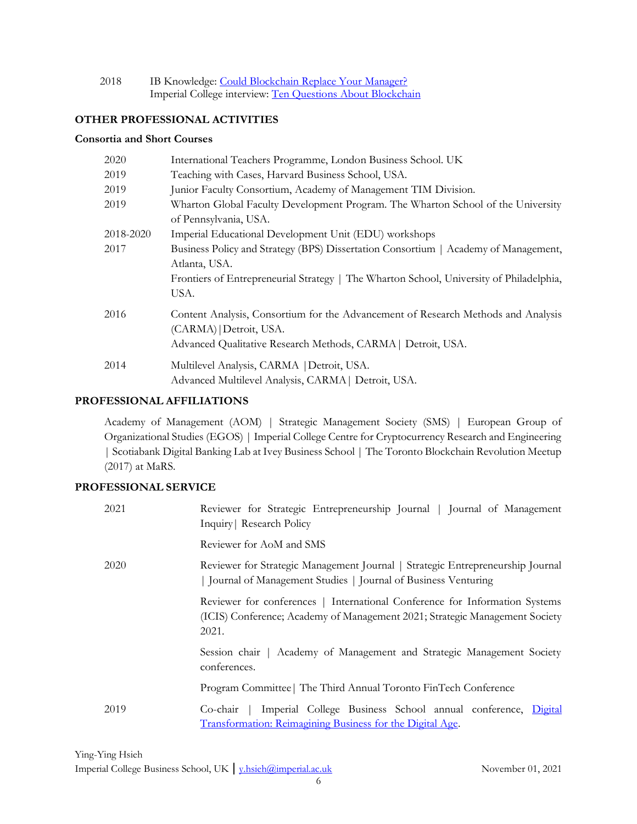| 2018 | IB Knowledge: Could Blockchain Replace Your Manager?       |
|------|------------------------------------------------------------|
|      | Imperial College interview: Ten Questions About Blockchain |

### **OTHER PROFESSIONAL ACTIVITIES**

#### **Consortia and Short Courses**

| 2020      | International Teachers Programme, London Business School. UK                            |  |
|-----------|-----------------------------------------------------------------------------------------|--|
| 2019      | Teaching with Cases, Harvard Business School, USA.                                      |  |
| 2019      | Junior Faculty Consortium, Academy of Management TIM Division.                          |  |
| 2019      | Wharton Global Faculty Development Program. The Wharton School of the University        |  |
|           | of Pennsylvania, USA.                                                                   |  |
| 2018-2020 | Imperial Educational Development Unit (EDU) workshops                                   |  |
| 2017      | Business Policy and Strategy (BPS) Dissertation Consortium   Academy of Management,     |  |
|           | Atlanta, USA.                                                                           |  |
|           | Frontiers of Entrepreneurial Strategy   The Wharton School, University of Philadelphia, |  |
|           | USA.                                                                                    |  |
| 2016      | Content Analysis, Consortium for the Advancement of Research Methods and Analysis       |  |
|           | (CARMA)   Detroit, USA.                                                                 |  |
|           | Advanced Qualitative Research Methods, CARMA   Detroit, USA.                            |  |
| 2014      | Multilevel Analysis, CARMA   Detroit, USA.                                              |  |
|           | Advanced Multilevel Analysis, CARMA   Detroit, USA.                                     |  |

#### **PROFESSIONAL AFFILIATIONS**

Academy of Management (AOM) | Strategic Management Society (SMS) | European Group of Organizational Studies (EGOS) | Imperial College Centre for Cryptocurrency Research and Engineering | Scotiabank Digital Banking Lab at Ivey Business School | The Toronto Blockchain Revolution Meetup (2017) at MaRS.

# **PROFESSIONAL SERVICE**

| 2021 | Reviewer for Strategic Entrepreneurship Journal   Journal of Management<br>Inquiry Research Policy                                                                  |
|------|---------------------------------------------------------------------------------------------------------------------------------------------------------------------|
|      | Reviewer for AoM and SMS                                                                                                                                            |
| 2020 | Reviewer for Strategic Management Journal   Strategic Entrepreneurship Journal<br>Journal of Management Studies   Journal of Business Venturing                     |
|      | Reviewer for conferences   International Conference for Information Systems<br>(ICIS) Conference; Academy of Management 2021; Strategic Management Society<br>2021. |
|      | Session chair   Academy of Management and Strategic Management Society<br>conferences.                                                                              |
|      | Program Committee   The Third Annual Toronto FinTech Conference                                                                                                     |
| 2019 | Imperial College Business School annual conference, Digital<br>$Co$ -chair<br>Transformation: Reimagining Business for the Digital Age.                             |

Imperial College Business School, UK | [y.hsieh@imperial.ac.uk](mailto:y.hsieh@imperial.ac.uk) November 01, 2021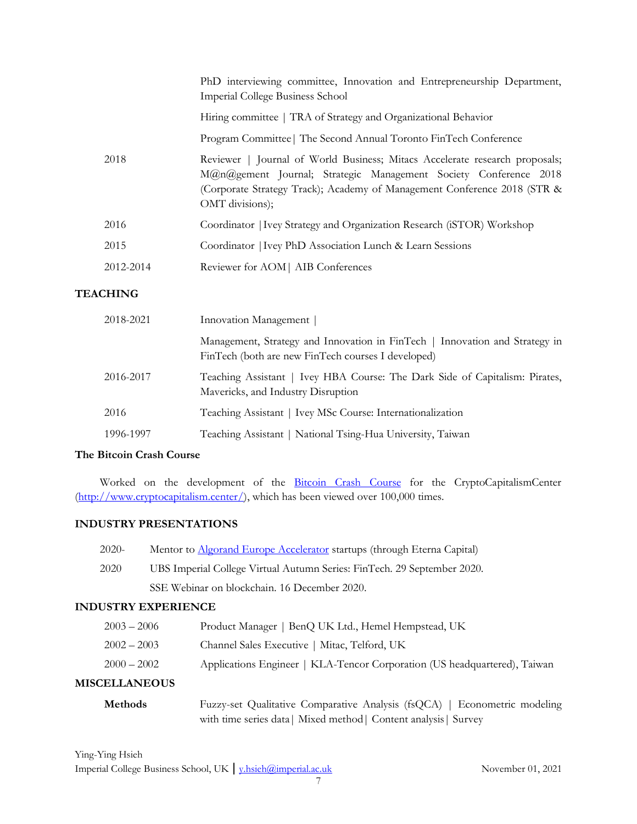|           | PhD interviewing committee, Innovation and Entrepreneurship Department,<br>Imperial College Business School                                                                                                                                    |
|-----------|------------------------------------------------------------------------------------------------------------------------------------------------------------------------------------------------------------------------------------------------|
|           | Hiring committee   TRA of Strategy and Organizational Behavior                                                                                                                                                                                 |
|           | Program Committee   The Second Annual Toronto FinTech Conference                                                                                                                                                                               |
| 2018      | Reviewer   Journal of World Business; Mitacs Accelerate research proposals;<br>M@n@gement Journal; Strategic Management Society Conference 2018<br>(Corporate Strategy Track); Academy of Management Conference 2018 (STR &<br>OMT divisions); |
| 2016      | Coordinator   Ivey Strategy and Organization Research (iSTOR) Workshop                                                                                                                                                                         |
| 2015      | Coordinator   Ivey PhD Association Lunch & Learn Sessions                                                                                                                                                                                      |
| 2012-2014 | Reviewer for AOM   AIB Conferences                                                                                                                                                                                                             |

# **TEACHING**

| 2018-2021 | Innovation Management                                                                                                             |
|-----------|-----------------------------------------------------------------------------------------------------------------------------------|
|           | Management, Strategy and Innovation in FinTech   Innovation and Strategy in<br>FinTech (both are new FinTech courses I developed) |
| 2016-2017 | Teaching Assistant   Ivey HBA Course: The Dark Side of Capitalism: Pirates,<br>Mavericks, and Industry Disruption                 |
| 2016      | Teaching Assistant   Ivey MSc Course: Internationalization                                                                        |
| 1996-1997 | Teaching Assistant   National Tsing-Hua University, Taiwan                                                                        |

# **The Bitcoin Crash Course**

Worked on the development of the [Bitcoin Crash Course](http://www.cryptocapitalism.center/bitcoin-crash-course/) for the CryptoCapitalismCenter [\(http://www.cryptocapitalism.center/\)](http://www.cryptocapitalism.center/), which has been viewed over 100,000 times.

# **INDUSTRY PRESENTATIONS**

| $2020-$ | Mentor to Algorand Europe Accelerator startups (through Eterna Capital) |
|---------|-------------------------------------------------------------------------|
| 2020    | UBS Imperial College Virtual Autumn Series: FinTech. 29 September 2020. |
|         | SSE Webinar on blockchain. 16 December 2020.                            |
|         |                                                                         |

## **INDUSTRY EXPERIENCE**

| <b>MISCELLANEOUS</b> |                                                                           |
|----------------------|---------------------------------------------------------------------------|
| $2000 - 2002$        | Applications Engineer   KLA-Tencor Corporation (US headquartered), Taiwan |
| $2002 - 2003$        | Channel Sales Executive   Mitac, Telford, UK                              |
| $2003 - 2006$        | Product Manager   BenQ UK Ltd., Hemel Hempstead, UK                       |

# **Methods** Fuzzy-set Qualitative Comparative Analysis (fsQCA) | Econometric modeling with time series data| Mixed method| Content analysis| Survey

| Ying-Ying Hsieh                                               |  |
|---------------------------------------------------------------|--|
| Imperial College Business School, UK   v.hsieh@imperial.ac.uk |  |